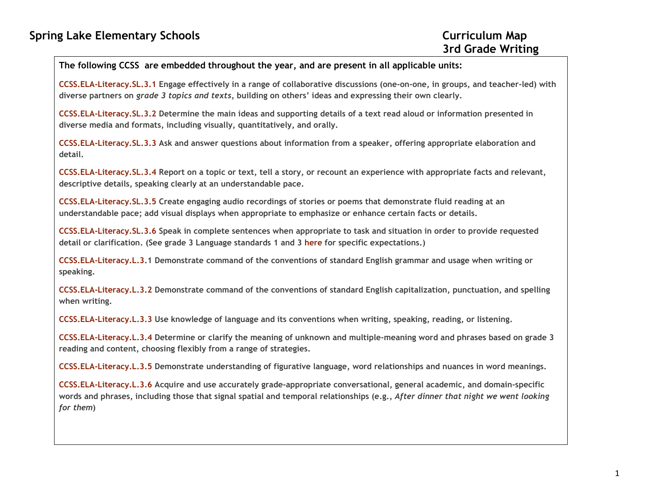## The following CCSS are embedded throughout the year, and are present in all applicable units:

CCSS.ELA-Literacy.SL.3.1 Engage effectively in a range of collaborative discussions (one-on-one, in groups, and teacher-led) with diverse partners on grade 3 topics and texts, building on others' ideas and expressing their own clearly.

CCSS.ELA-Literacy.SL.3.2 Determine the main ideas and supporting details of a text read aloud or information presented in diverse media and formats, including visually, quantitatively, and orally.

CCSS.ELA-Literacy.SL.3.3 Ask and answer questions about information from a speaker, offering appropriate elaboration and detail.

CCSS.ELA-Literacy.SL.3.4 Report on a topic or text, tell a story, or recount an experience with appropriate facts and relevant, descriptive details, speaking clearly at an understandable pace.

CCSS.ELA-Literacy.SL.3.5 Create engaging audio recordings of stories or poems that demonstrate fluid reading at an understandable pace; add visual displays when appropriate to emphasize or enhance certain facts or details.

CCSS.ELA-Literacy.SL.3.6 Speak in complete sentences when appropriate to task and situation in order to provide requested detail or clarification. (See grade 3 Language standards 1 and 3 here for specific expectations.)

CCSS.ELA-Literacy.L.3.1 Demonstrate command of the conventions of standard English grammar and usage when writing or speaking.

CCSS.ELA-Literacy.L.3.2 Demonstrate command of the conventions of standard English capitalization, punctuation, and spelling when writing.

CCSS.ELA-Literacy.L.3.3 Use knowledge of language and its conventions when writing, speaking, reading, or listening.

CCSS.ELA-Literacy.L.3.4 Determine or clarify the meaning of unknown and multiple-meaning word and phrases based on grade 3 reading and content, choosing flexibly from a range of strategies.

CCSS.ELA-Literacy.L.3.5 Demonstrate understanding of figurative language, word relationships and nuances in word meanings.

CCSS.ELA-Literacy.L.3.6 Acquire and use accurately grade-appropriate conversational, general academic, and domain-specific words and phrases, including those that signal spatial and temporal relationships (e.g., After dinner that night we went looking for them)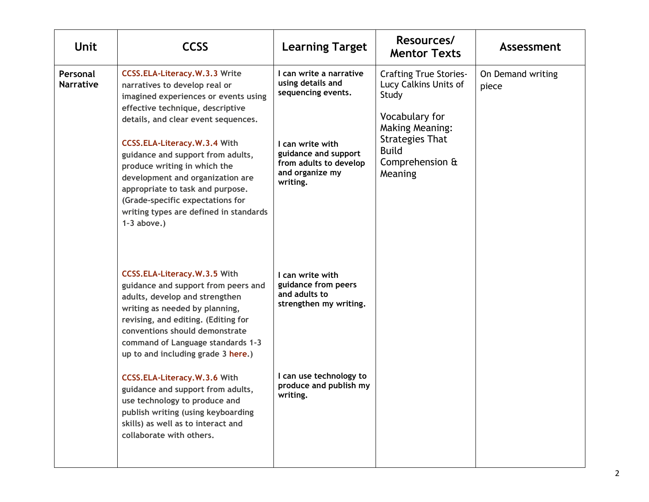| <b>Unit</b>                  | <b>CCSS</b>                                                                                                                                                                                                                                                                                                                                                                                                                                                                                               | <b>Learning Target</b>                                                                                                                                                  | Resources/<br><b>Mentor Texts</b>                                                                                                                                                   | Assessment                 |
|------------------------------|-----------------------------------------------------------------------------------------------------------------------------------------------------------------------------------------------------------------------------------------------------------------------------------------------------------------------------------------------------------------------------------------------------------------------------------------------------------------------------------------------------------|-------------------------------------------------------------------------------------------------------------------------------------------------------------------------|-------------------------------------------------------------------------------------------------------------------------------------------------------------------------------------|----------------------------|
| Personal<br><b>Narrative</b> | <b>CCSS.ELA-Literacy.W.3.3 Write</b><br>narratives to develop real or<br>imagined experiences or events using<br>effective technique, descriptive<br>details, and clear event sequences.<br>CCSS.ELA-Literacy.W.3.4 With<br>guidance and support from adults,<br>produce writing in which the<br>development and organization are<br>appropriate to task and purpose.<br>(Grade-specific expectations for<br>writing types are defined in standards<br>$1-3$ above.)                                      | I can write a narrative<br>using details and<br>sequencing events.<br>I can write with<br>guidance and support<br>from adults to develop<br>and organize my<br>writing. | <b>Crafting True Stories-</b><br>Lucy Calkins Units of<br>Study<br>Vocabulary for<br><b>Making Meaning:</b><br><b>Strategies That</b><br><b>Build</b><br>Comprehension &<br>Meaning | On Demand writing<br>piece |
|                              | CCSS.ELA-Literacy.W.3.5 With<br>guidance and support from peers and<br>adults, develop and strengthen<br>writing as needed by planning,<br>revising, and editing. (Editing for<br>conventions should demonstrate<br>command of Language standards 1-3<br>up to and including grade 3 here.)<br>CCSS.ELA-Literacy.W.3.6 With<br>guidance and support from adults,<br>use technology to produce and<br>publish writing (using keyboarding<br>skills) as well as to interact and<br>collaborate with others. | I can write with<br>guidance from peers<br>and adults to<br>strengthen my writing.<br>I can use technology to<br>produce and publish my<br>writing.                     |                                                                                                                                                                                     |                            |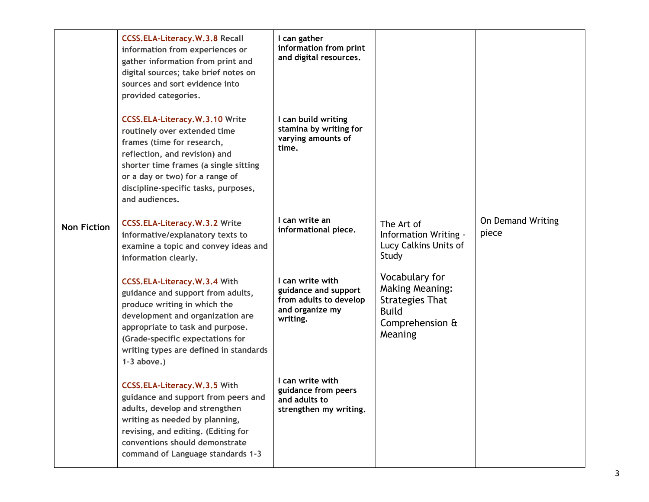|                    | <b>CCSS.ELA-Literacy.W.3.8 Recall</b><br>information from experiences or<br>gather information from print and<br>digital sources; take brief notes on<br>sources and sort evidence into<br>provided categories.                                                            | I can gather<br>information from print<br>and digital resources.                                  |                                                                                                                  |                            |
|--------------------|----------------------------------------------------------------------------------------------------------------------------------------------------------------------------------------------------------------------------------------------------------------------------|---------------------------------------------------------------------------------------------------|------------------------------------------------------------------------------------------------------------------|----------------------------|
|                    | <b>CCSS.ELA-Literacy.W.3.10 Write</b><br>routinely over extended time<br>frames (time for research,<br>reflection, and revision) and<br>shorter time frames (a single sitting<br>or a day or two) for a range of<br>discipline-specific tasks, purposes,<br>and audiences. | I can build writing<br>stamina by writing for<br>varying amounts of<br>time.                      |                                                                                                                  |                            |
| <b>Non Fiction</b> | <b>CCSS.ELA-Literacy.W.3.2 Write</b><br>informative/explanatory texts to<br>examine a topic and convey ideas and<br>information clearly.                                                                                                                                   | I can write an<br>informational piece.                                                            | The Art of<br>Information Writing -<br>Lucy Calkins Units of<br>Study                                            | On Demand Writing<br>piece |
|                    | CCSS.ELA-Literacy.W.3.4 With<br>guidance and support from adults,<br>produce writing in which the<br>development and organization are<br>appropriate to task and purpose.<br>(Grade-specific expectations for<br>writing types are defined in standards<br>$1-3$ above.)   | I can write with<br>guidance and support<br>from adults to develop<br>and organize my<br>writing. | Vocabulary for<br><b>Making Meaning:</b><br><b>Strategies That</b><br><b>Build</b><br>Comprehension &<br>Meaning |                            |
|                    | CCSS.ELA-Literacy.W.3.5 With<br>guidance and support from peers and<br>adults, develop and strengthen<br>writing as needed by planning,<br>revising, and editing. (Editing for<br>conventions should demonstrate<br>command of Language standards 1-3                      | I can write with<br>guidance from peers<br>and adults to<br>strengthen my writing.                |                                                                                                                  |                            |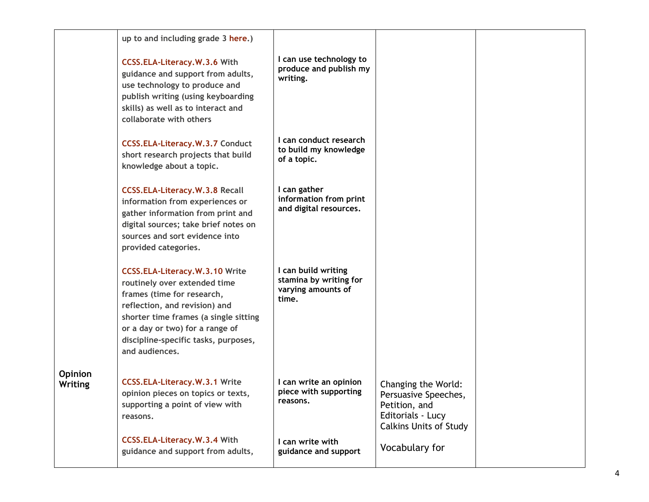|                    | up to and including grade 3 here.)                                                                                                                                                                                                                                         |                                                                              |                                                                                                                    |  |
|--------------------|----------------------------------------------------------------------------------------------------------------------------------------------------------------------------------------------------------------------------------------------------------------------------|------------------------------------------------------------------------------|--------------------------------------------------------------------------------------------------------------------|--|
|                    | CCSS.ELA-Literacy.W.3.6 With<br>guidance and support from adults,<br>use technology to produce and<br>publish writing (using keyboarding<br>skills) as well as to interact and<br>collaborate with others                                                                  | I can use technology to<br>produce and publish my<br>writing.                |                                                                                                                    |  |
|                    | <b>CCSS.ELA-Literacy.W.3.7 Conduct</b><br>short research projects that build<br>knowledge about a topic.                                                                                                                                                                   | I can conduct research<br>to build my knowledge<br>of a topic.               |                                                                                                                    |  |
|                    | <b>CCSS.ELA-Literacy.W.3.8 Recall</b><br>information from experiences or<br>gather information from print and<br>digital sources; take brief notes on<br>sources and sort evidence into<br>provided categories.                                                            | I can gather<br>information from print<br>and digital resources.             |                                                                                                                    |  |
|                    | <b>CCSS.ELA-Literacy.W.3.10 Write</b><br>routinely over extended time<br>frames (time for research,<br>reflection, and revision) and<br>shorter time frames (a single sitting<br>or a day or two) for a range of<br>discipline-specific tasks, purposes,<br>and audiences. | I can build writing<br>stamina by writing for<br>varying amounts of<br>time. |                                                                                                                    |  |
| Opinion<br>Writing | <b>CCSS.ELA-Literacy.W.3.1 Write</b><br>opinion pieces on topics or texts,<br>supporting a point of view with<br>reasons.                                                                                                                                                  | I can write an opinion<br>piece with supporting<br>reasons.                  | Changing the World:<br>Persuasive Speeches,<br>Petition, and<br>Editorials - Lucy<br><b>Calkins Units of Study</b> |  |
|                    | CCSS.ELA-Literacy.W.3.4 With<br>guidance and support from adults,                                                                                                                                                                                                          | I can write with<br>guidance and support                                     | Vocabulary for                                                                                                     |  |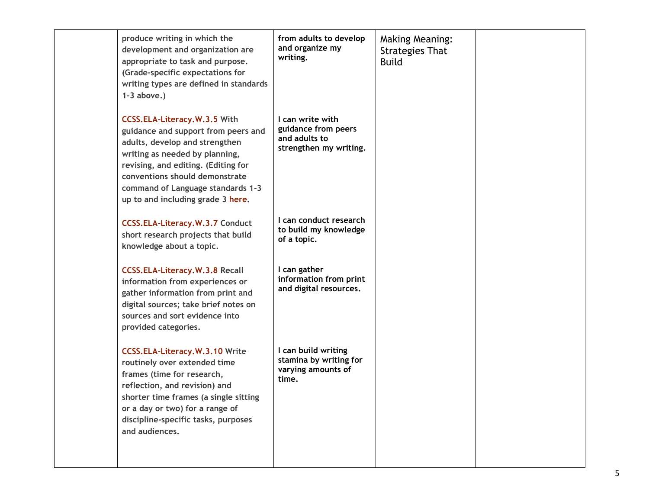| produce writing in which the<br>development and organization are<br>appropriate to task and purpose.<br>(Grade-specific expectations for<br>writing types are defined in standards<br>$1-3$ above.)                                                                                        | from adults to develop<br>and organize my<br>writing.                              | <b>Making Meaning:</b><br><b>Strategies That</b><br><b>Build</b> |  |
|--------------------------------------------------------------------------------------------------------------------------------------------------------------------------------------------------------------------------------------------------------------------------------------------|------------------------------------------------------------------------------------|------------------------------------------------------------------|--|
| CCSS.ELA-Literacy.W.3.5 With<br>guidance and support from peers and<br>adults, develop and strengthen<br>writing as needed by planning,<br>revising, and editing. (Editing for<br>conventions should demonstrate<br>command of Language standards 1-3<br>up to and including grade 3 here. | I can write with<br>guidance from peers<br>and adults to<br>strengthen my writing. |                                                                  |  |
| <b>CCSS.ELA-Literacy.W.3.7 Conduct</b><br>short research projects that build<br>knowledge about a topic.                                                                                                                                                                                   | I can conduct research<br>to build my knowledge<br>of a topic.                     |                                                                  |  |
| <b>CCSS.ELA-Literacy.W.3.8 Recall</b><br>information from experiences or<br>gather information from print and<br>digital sources; take brief notes on<br>sources and sort evidence into<br>provided categories.                                                                            | I can gather<br>information from print<br>and digital resources.                   |                                                                  |  |
| <b>CCSS.ELA-Literacy.W.3.10 Write</b><br>routinely over extended time<br>frames (time for research,<br>reflection, and revision) and<br>shorter time frames (a single sitting<br>or a day or two) for a range of<br>discipline-specific tasks, purposes<br>and audiences.                  | I can build writing<br>stamina by writing for<br>varying amounts of<br>time.       |                                                                  |  |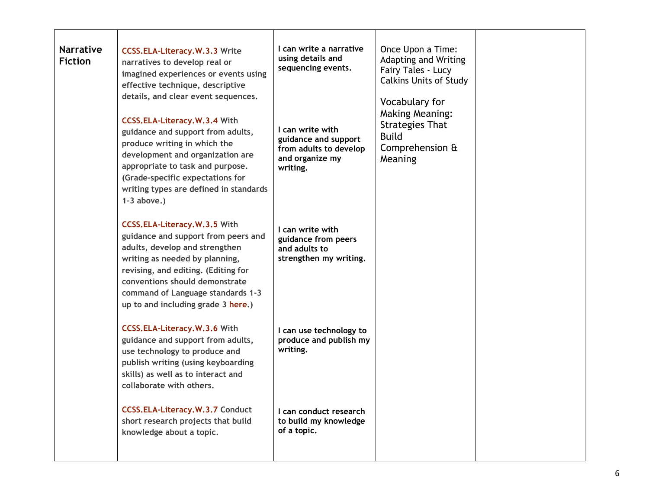| <b>Narrative</b><br><b>Fiction</b> | <b>CCSS.ELA-Literacy.W.3.3 Write</b><br>narratives to develop real or<br>imagined experiences or events using<br>effective technique, descriptive<br>details, and clear event sequences.<br>CCSS.ELA-Literacy.W.3.4 With<br>guidance and support from adults,<br>produce writing in which the<br>development and organization are<br>appropriate to task and purpose.<br>(Grade-specific expectations for<br>writing types are defined in standards<br>$1-3$ above.) | I can write a narrative<br>using details and<br>sequencing events.<br>I can write with<br>guidance and support<br>from adults to develop<br>and organize my<br>writing. | Once Upon a Time:<br>Adapting and Writing<br>Fairy Tales - Lucy<br><b>Calkins Units of Study</b><br>Vocabulary for<br><b>Making Meaning:</b><br><b>Strategies That</b><br><b>Build</b><br>Comprehension &<br>Meaning |  |
|------------------------------------|----------------------------------------------------------------------------------------------------------------------------------------------------------------------------------------------------------------------------------------------------------------------------------------------------------------------------------------------------------------------------------------------------------------------------------------------------------------------|-------------------------------------------------------------------------------------------------------------------------------------------------------------------------|----------------------------------------------------------------------------------------------------------------------------------------------------------------------------------------------------------------------|--|
|                                    | CCSS.ELA-Literacy.W.3.5 With<br>guidance and support from peers and<br>adults, develop and strengthen<br>writing as needed by planning,<br>revising, and editing. (Editing for<br>conventions should demonstrate<br>command of Language standards 1-3<br>up to and including grade 3 here.)                                                                                                                                                                          | I can write with<br>guidance from peers<br>and adults to<br>strengthen my writing.                                                                                      |                                                                                                                                                                                                                      |  |
|                                    | CCSS.ELA-Literacy.W.3.6 With<br>guidance and support from adults,<br>use technology to produce and<br>publish writing (using keyboarding<br>skills) as well as to interact and<br>collaborate with others.                                                                                                                                                                                                                                                           | I can use technology to<br>produce and publish my<br>writing.                                                                                                           |                                                                                                                                                                                                                      |  |
|                                    | <b>CCSS.ELA-Literacy.W.3.7 Conduct</b><br>short research projects that build<br>knowledge about a topic.                                                                                                                                                                                                                                                                                                                                                             | I can conduct research<br>to build my knowledge<br>of a topic.                                                                                                          |                                                                                                                                                                                                                      |  |